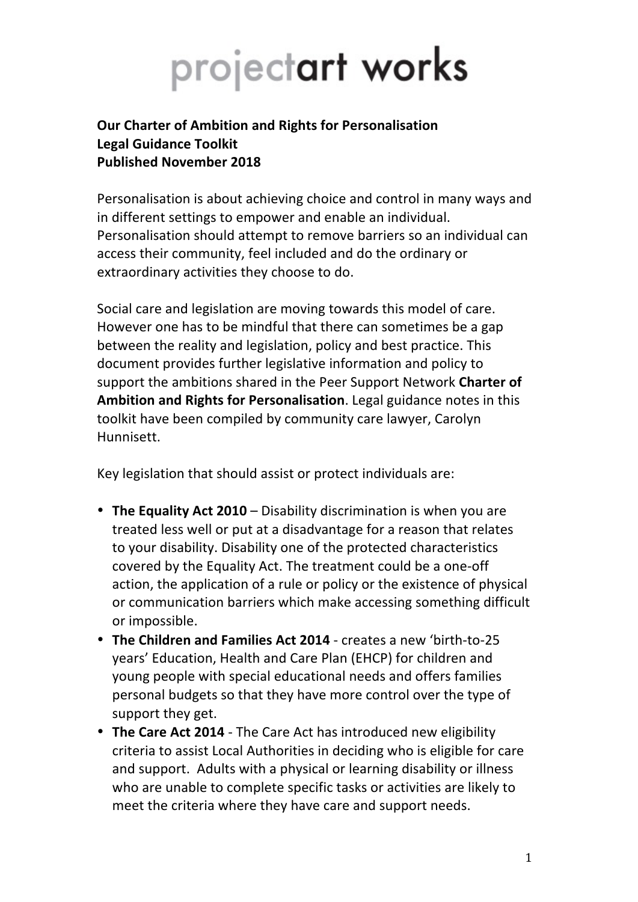# projectart works

# **Our Charter of Ambition and Rights for Personalisation Legal Guidance Toolkit Published November 2018**

Personalisation is about achieving choice and control in many ways and in different settings to empower and enable an individual. Personalisation should attempt to remove barriers so an individual can access their community, feel included and do the ordinary or extraordinary activities they choose to do.

Social care and legislation are moving towards this model of care. However one has to be mindful that there can sometimes be a gap between the reality and legislation, policy and best practice. This document provides further legislative information and policy to support the ambitions shared in the Peer Support Network **Charter of Ambition and Rights for Personalisation**. Legal guidance notes in this toolkit have been compiled by community care lawyer, Carolyn Hunnisett. 

Key legislation that should assist or protect individuals are:

- The Equality Act 2010 Disability discrimination is when you are treated less well or put at a disadvantage for a reason that relates to your disability. Disability one of the protected characteristics covered by the Equality Act. The treatment could be a one-off action, the application of a rule or policy or the existence of physical or communication barriers which make accessing something difficult or impossible.
- The Children and Families Act 2014 creates a new 'birth-to-25 years' Education, Health and Care Plan (EHCP) for children and young people with special educational needs and offers families personal budgets so that they have more control over the type of support they get.
- The Care Act 2014 The Care Act has introduced new eligibility criteria to assist Local Authorities in deciding who is eligible for care and support. Adults with a physical or learning disability or illness who are unable to complete specific tasks or activities are likely to meet the criteria where they have care and support needs.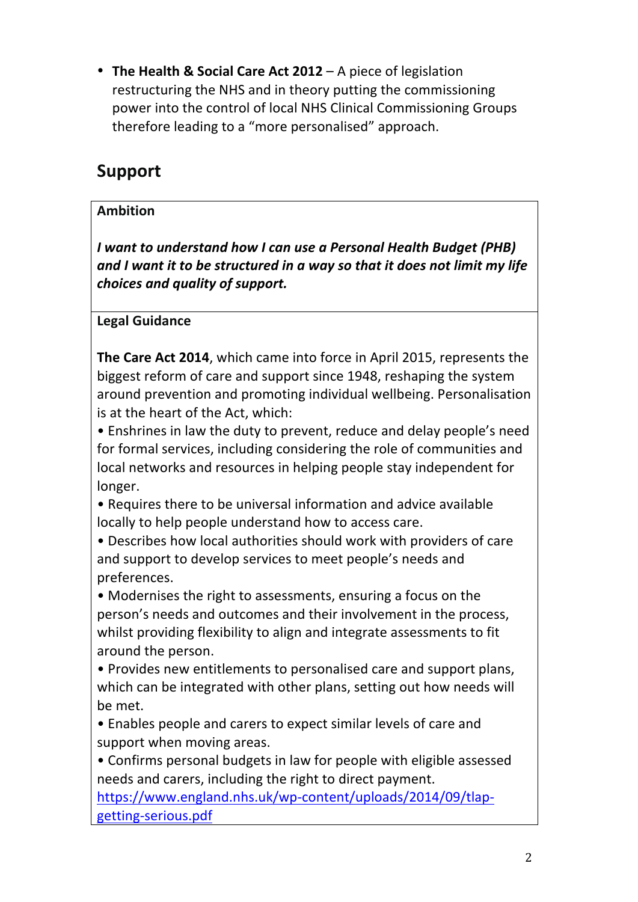• The Health & Social Care Act 2012 – A piece of legislation restructuring the NHS and in theory putting the commissioning power into the control of local NHS Clinical Commissioning Groups therefore leading to a "more personalised" approach.

# **Support**

# **Ambition**

*I want to understand how I can use a Personal Health Budget (PHB)* and I want it to be structured in a way so that it does not limit my life choices and quality of support.

**Legal Guidance**

**The Care Act 2014**, which came into force in April 2015, represents the biggest reform of care and support since 1948, reshaping the system around prevention and promoting individual wellbeing. Personalisation is at the heart of the Act, which:

• Enshrines in law the duty to prevent, reduce and delay people's need for formal services, including considering the role of communities and local networks and resources in helping people stay independent for longer. 

• Requires there to be universal information and advice available locally to help people understand how to access care.

• Describes how local authorities should work with providers of care and support to develop services to meet people's needs and preferences. 

• Modernises the right to assessments, ensuring a focus on the person's needs and outcomes and their involvement in the process, whilst providing flexibility to align and integrate assessments to fit around the person.

• Provides new entitlements to personalised care and support plans, which can be integrated with other plans, setting out how needs will be met.

• Enables people and carers to expect similar levels of care and support when moving areas.

• Confirms personal budgets in law for people with eligible assessed needs and carers, including the right to direct payment.

https://www.england.nhs.uk/wp-content/uploads/2014/09/tlapgetting-serious.pdf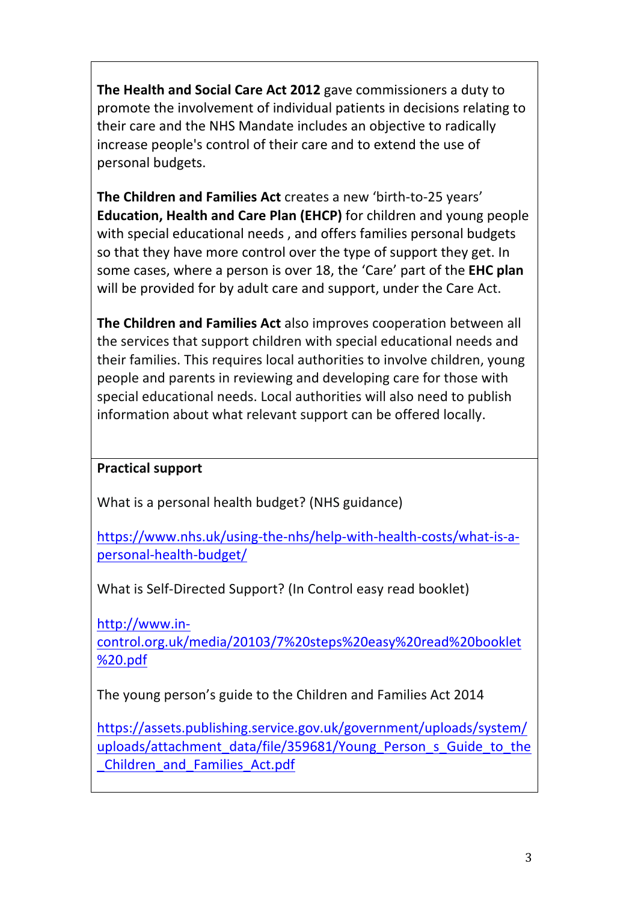**The Health and Social Care Act 2012** gave commissioners a duty to promote the involvement of individual patients in decisions relating to their care and the NHS Mandate includes an objective to radically increase people's control of their care and to extend the use of personal budgets.

**The Children and Families Act** creates a new 'birth-to-25 years' **Education, Health and Care Plan (EHCP)** for children and young people with special educational needs, and offers families personal budgets so that they have more control over the type of support they get. In some cases, where a person is over 18, the 'Care' part of the **EHC plan** will be provided for by adult care and support, under the Care Act.

**The Children and Families Act** also improves cooperation between all the services that support children with special educational needs and their families. This requires local authorities to involve children, young people and parents in reviewing and developing care for those with special educational needs. Local authorities will also need to publish information about what relevant support can be offered locally.

# **Practical support**

What is a personal health budget? (NHS guidance)

https://www.nhs.uk/using-the-nhs/help-with-health-costs/what-is-apersonal-health-budget/

What is Self-Directed Support? (In Control easy read booklet)

http://www.incontrol.org.uk/media/20103/7%20steps%20easy%20read%20booklet %20.pdf

The young person's guide to the Children and Families Act 2014

https://assets.publishing.service.gov.uk/government/uploads/system/ uploads/attachment\_data/file/359681/Young\_Person\_s\_Guide\_to\_the \_Children\_and\_Families\_Act.pdf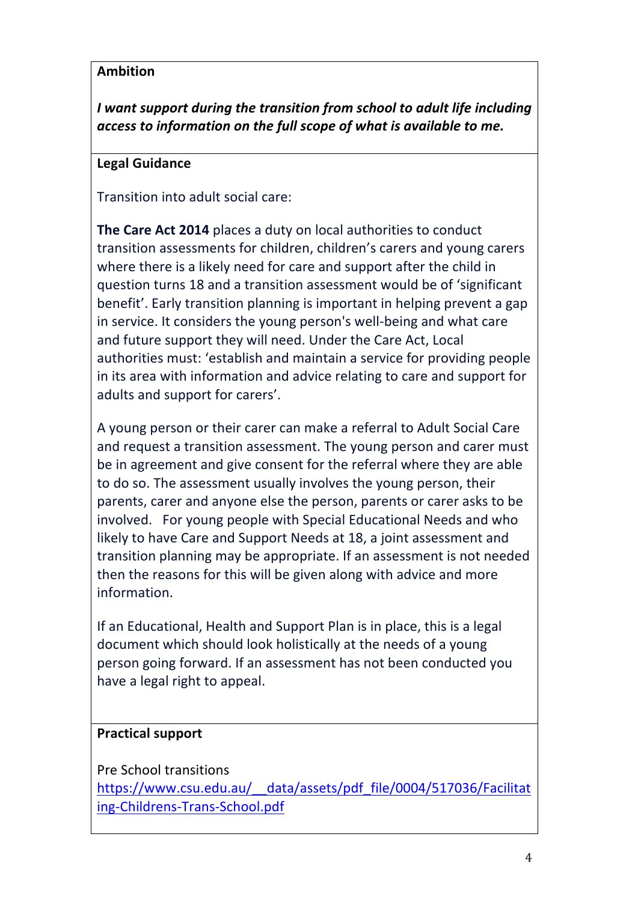*I* want support during the transition from school to adult life including access to information on the full scope of what is available to me.

#### **Legal Guidance**

Transition into adult social care:

**The Care Act 2014** places a duty on local authorities to conduct transition assessments for children, children's carers and young carers where there is a likely need for care and support after the child in question turns 18 and a transition assessment would be of 'significant benefit'. Early transition planning is important in helping prevent a gap in service. It considers the young person's well-being and what care and future support they will need. Under the Care Act, Local authorities must: 'establish and maintain a service for providing people in its area with information and advice relating to care and support for adults and support for carers'.

A young person or their carer can make a referral to Adult Social Care and request a transition assessment. The young person and carer must be in agreement and give consent for the referral where they are able to do so. The assessment usually involves the young person, their parents, carer and anyone else the person, parents or carer asks to be involved. For young people with Special Educational Needs and who likely to have Care and Support Needs at 18, a joint assessment and transition planning may be appropriate. If an assessment is not needed then the reasons for this will be given along with advice and more information.

If an Educational, Health and Support Plan is in place, this is a legal document which should look holistically at the needs of a young person going forward. If an assessment has not been conducted you have a legal right to appeal.

#### **Practical support**

Pre School transitions

https://www.csu.edu.au/\_\_data/assets/pdf\_file/0004/517036/Facilitat ing-Childrens-Trans-School.pdf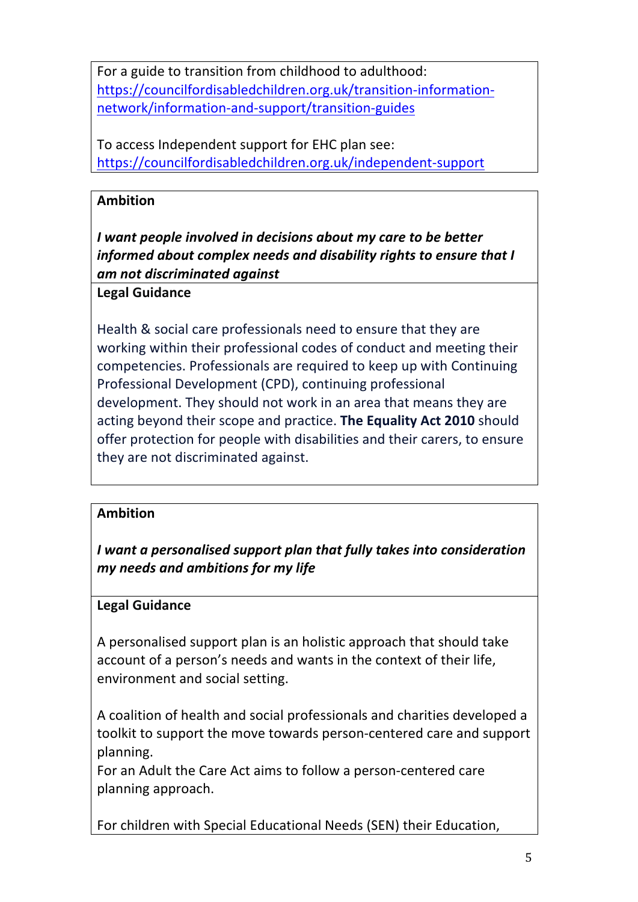For a guide to transition from childhood to adulthood: https://councilfordisabledchildren.org.uk/transition-informationnetwork/information-and-support/transition-guides

To access Independent support for EHC plan see: https://councilfordisabledchildren.org.uk/independent-support

# **Ambition**

*I* want people involved in decisions about my care to be better *informed about complex needs and disability rights to ensure that I am not discriminated against*

#### **Legal Guidance**

Health & social care professionals need to ensure that they are working within their professional codes of conduct and meeting their competencies. Professionals are required to keep up with Continuing Professional Development (CPD), continuing professional development. They should not work in an area that means they are acting beyond their scope and practice. The Equality Act 2010 should offer protection for people with disabilities and their carers, to ensure they are not discriminated against.

#### **Ambition**

*I* want a personalised support plan that fully takes into consideration *my needs and ambitions for my life*

#### **Legal Guidance**

A personalised support plan is an holistic approach that should take account of a person's needs and wants in the context of their life, environment and social setting.

A coalition of health and social professionals and charities developed a toolkit to support the move towards person-centered care and support planning. 

For an Adult the Care Act aims to follow a person-centered care planning approach.

For children with Special Educational Needs (SEN) their Education,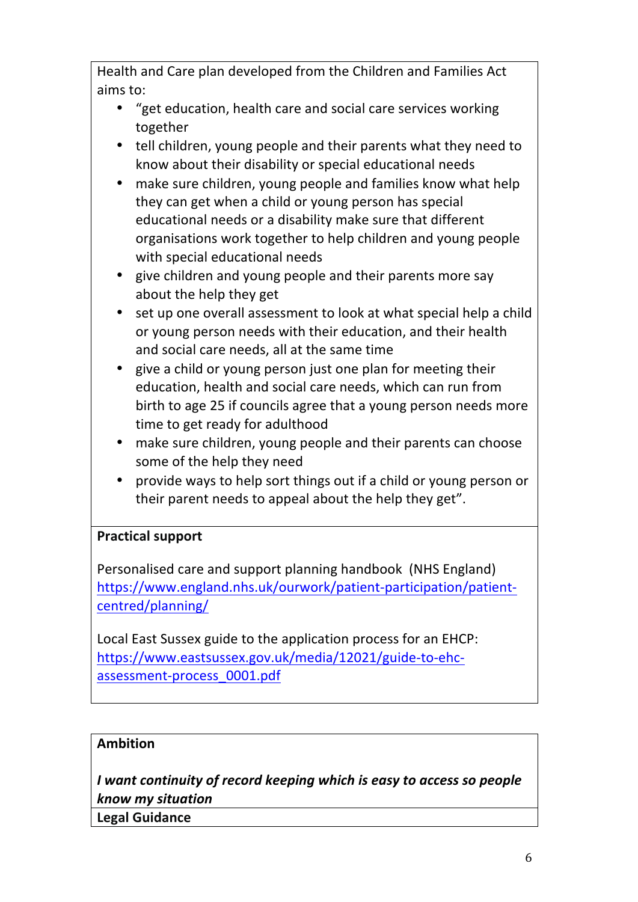Health and Care plan developed from the Children and Families Act aims to:

- "get education, health care and social care services working together
- tell children, young people and their parents what they need to know about their disability or special educational needs
- make sure children, young people and families know what help they can get when a child or young person has special educational needs or a disability make sure that different organisations work together to help children and young people with special educational needs
- give children and young people and their parents more say about the help they get
- set up one overall assessment to look at what special help a child or young person needs with their education, and their health and social care needs, all at the same time
- give a child or young person just one plan for meeting their education, health and social care needs, which can run from birth to age 25 if councils agree that a young person needs more time to get ready for adulthood
- make sure children, young people and their parents can choose some of the help they need
- provide ways to help sort things out if a child or young person or their parent needs to appeal about the help they get".

# **Practical support**

Personalised care and support planning handbook (NHS England) https://www.england.nhs.uk/ourwork/patient-participation/patientcentred/planning/

Local East Sussex guide to the application process for an EHCP: https://www.eastsussex.gov.uk/media/12021/guide-to-ehcassessment-process\_0001.pdf

#### **Ambition**

*I* want continuity of record keeping which is easy to access so people *know my situation*

**Legal Guidance**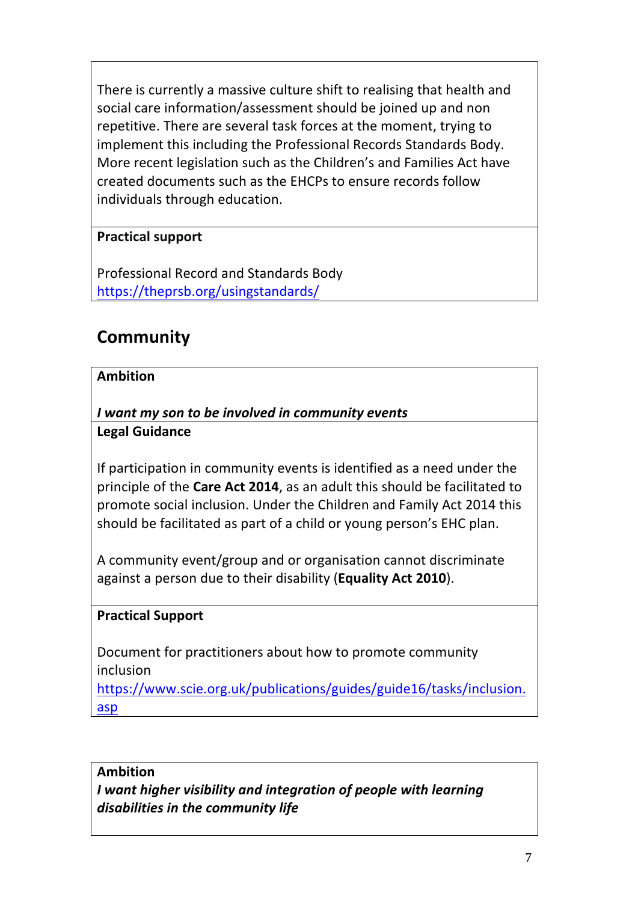There is currently a massive culture shift to realising that health and social care information/assessment should be joined up and non repetitive. There are several task forces at the moment, trying to implement this including the Professional Records Standards Body. More recent legislation such as the Children's and Families Act have created documents such as the EHCPs to ensure records follow individuals through education.

# **Practical support**

Professional Record and Standards Body https://theprsb.org/usingstandards/

# **Community**

# **Ambition**

*I want my son to be involved in community events* **Legal Guidance**

If participation in community events is identified as a need under the principle of the **Care Act 2014**, as an adult this should be facilitated to promote social inclusion. Under the Children and Family Act 2014 this should be facilitated as part of a child or young person's EHC plan.

A community event/group and or organisation cannot discriminate against a person due to their disability (**Equality Act 2010**).

# **Practical Support**

Document for practitioners about how to promote community inclusion

https://www.scie.org.uk/publications/guides/guide16/tasks/inclusion. asp

#### **Ambition**

*I want higher visibility and integration of people with learning* disabilities in the community life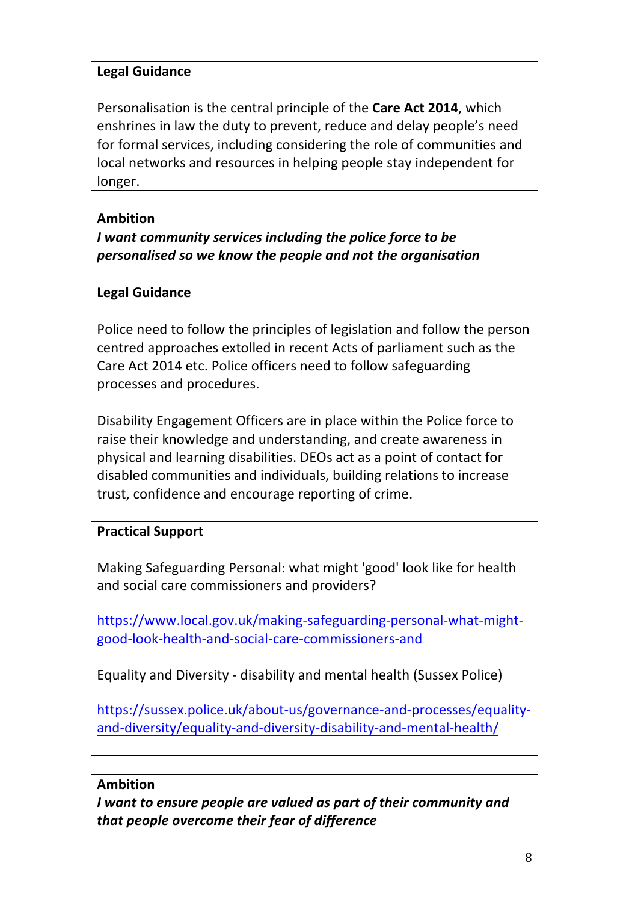# **Legal Guidance**

Personalisation is the central principle of the Care Act 2014, which enshrines in law the duty to prevent, reduce and delay people's need for formal services, including considering the role of communities and local networks and resources in helping people stay independent for longer.

# **Ambition**

*I* want community services including the police force to be *personalised so we know the people and not the organisation*

# **Legal Guidance**

Police need to follow the principles of legislation and follow the person centred approaches extolled in recent Acts of parliament such as the Care Act 2014 etc. Police officers need to follow safeguarding processes and procedures.

Disability Engagement Officers are in place within the Police force to raise their knowledge and understanding, and create awareness in physical and learning disabilities. DEOs act as a point of contact for disabled communities and individuals, building relations to increase trust, confidence and encourage reporting of crime.

# **Practical Support**

Making Safeguarding Personal: what might 'good' look like for health and social care commissioners and providers?

https://www.local.gov.uk/making-safeguarding-personal-what-mightgood-look-health-and-social-care-commissioners-and

Equality and Diversity - disability and mental health (Sussex Police)

https://sussex.police.uk/about-us/governance-and-processes/equalityand-diversity/equality-and-diversity-disability-and-mental-health/

#### **Ambition**

*I* want to ensure people are valued as part of their community and *that people overcome their fear of difference*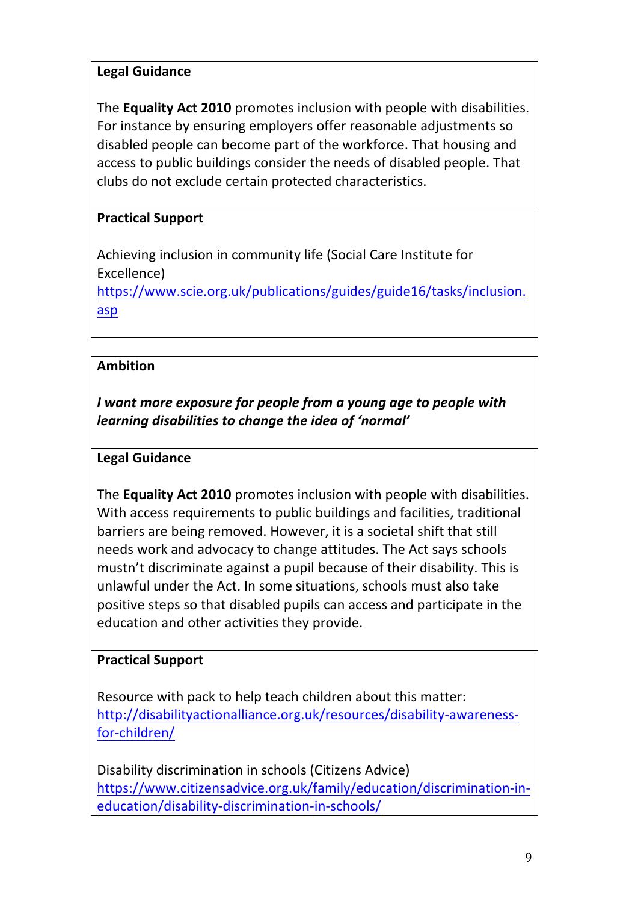# **Legal Guidance**

The **Equality Act 2010** promotes inclusion with people with disabilities. For instance by ensuring employers offer reasonable adjustments so disabled people can become part of the workforce. That housing and access to public buildings consider the needs of disabled people. That clubs do not exclude certain protected characteristics.

# **Practical Support**

Achieving inclusion in community life (Social Care Institute for Excellence) https://www.scie.org.uk/publications/guides/guide16/tasks/inclusion. asp

# **Ambition**

*I* want more exposure for people from a young age to people with learning disabilities to change the idea of 'normal'

#### **Legal Guidance**

The **Equality Act 2010** promotes inclusion with people with disabilities. With access requirements to public buildings and facilities, traditional barriers are being removed. However, it is a societal shift that still needs work and advocacy to change attitudes. The Act says schools mustn't discriminate against a pupil because of their disability. This is unlawful under the Act. In some situations, schools must also take positive steps so that disabled pupils can access and participate in the education and other activities they provide.

#### **Practical Support**

Resource with pack to help teach children about this matter: http://disabilityactionalliance.org.uk/resources/disability-awarenessfor-children/

Disability discrimination in schools (Citizens Advice) https://www.citizensadvice.org.uk/family/education/discrimination-ineducation/disability-discrimination-in-schools/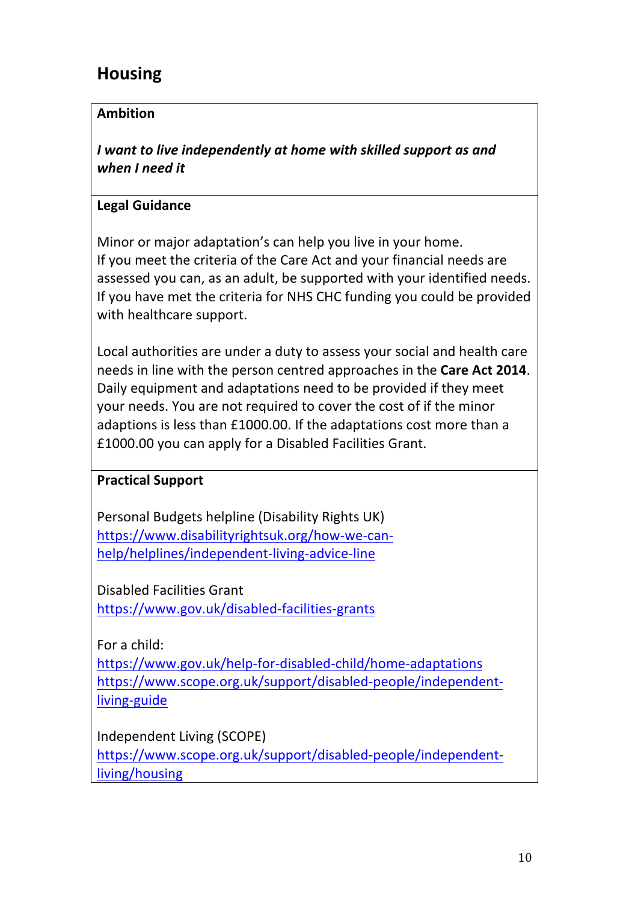# **Housing**

# **Ambition**

*I* want to live independently at home with skilled support as and *when I need it*

# **Legal Guidance**

Minor or major adaptation's can help you live in your home. If you meet the criteria of the Care Act and your financial needs are assessed you can, as an adult, be supported with your identified needs. If you have met the criteria for NHS CHC funding you could be provided with healthcare support.

Local authorities are under a duty to assess your social and health care needs in line with the person centred approaches in the **Care Act 2014**. Daily equipment and adaptations need to be provided if they meet your needs. You are not required to cover the cost of if the minor adaptions is less than £1000.00. If the adaptations cost more than a £1000.00 you can apply for a Disabled Facilities Grant.

# **Practical Support**

Personal Budgets helpline (Disability Rights UK) https://www.disabilityrightsuk.org/how-we-canhelp/helplines/independent-living-advice-line

Disabled Facilities Grant https://www.gov.uk/disabled-facilities-grants

For a child:

https://www.gov.uk/help-for-disabled-child/home-adaptations https://www.scope.org.uk/support/disabled-people/independentliving-guide

Independent Living (SCOPE)

https://www.scope.org.uk/support/disabled-people/independentliving/housing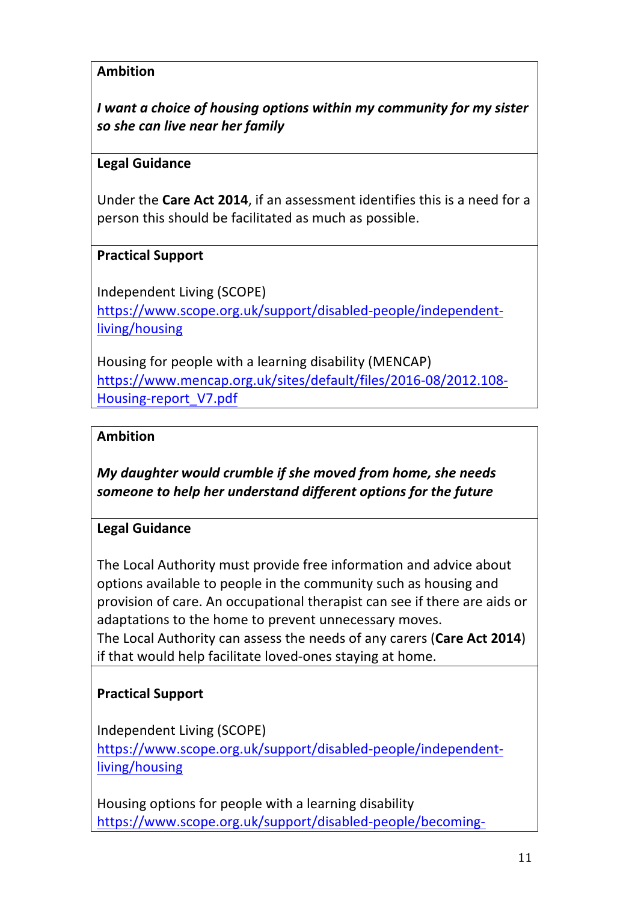*I* want a choice of housing options within my community for my sister *so she can live near her family* 

#### **Legal Guidance**

Under the **Care Act 2014**, if an assessment identifies this is a need for a person this should be facilitated as much as possible.

#### **Practical Support**

Independent Living (SCOPE) https://www.scope.org.uk/support/disabled-people/independentliving/housing

Housing for people with a learning disability (MENCAP) https://www.mencap.org.uk/sites/default/files/2016-08/2012.108- Housing-report\_V7.pdf

#### **Ambition**

*My daughter would crumble if she moved from home, she needs* someone to help her understand different options for the future

#### **Legal Guidance**

The Local Authority must provide free information and advice about options available to people in the community such as housing and provision of care. An occupational therapist can see if there are aids or adaptations to the home to prevent unnecessary moves. The Local Authority can assess the needs of any carers (Care Act 2014) if that would help facilitate loved-ones staying at home.

# **Practical Support**

Independent Living (SCOPE) https://www.scope.org.uk/support/disabled-people/independentliving/housing

Housing options for people with a learning disability https://www.scope.org.uk/support/disabled-people/becoming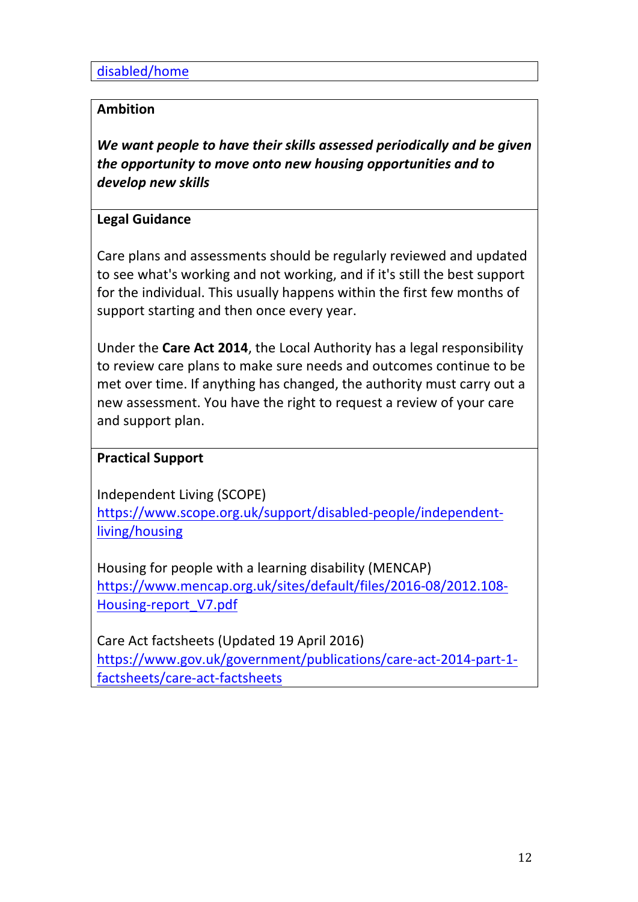disabled/home

#### **Ambition**

We want people to have their skills assessed periodically and be given *the opportunity to move onto new housing opportunities and to develop new skills*

#### **Legal Guidance**

Care plans and assessments should be regularly reviewed and updated to see what's working and not working, and if it's still the best support for the individual. This usually happens within the first few months of support starting and then once every year.

Under the **Care Act 2014**, the Local Authority has a legal responsibility to review care plans to make sure needs and outcomes continue to be met over time. If anything has changed, the authority must carry out a new assessment. You have the right to request a review of your care and support plan.

#### **Practical Support**

Independent Living (SCOPE) https://www.scope.org.uk/support/disabled-people/independentliving/housing

Housing for people with a learning disability (MENCAP) https://www.mencap.org.uk/sites/default/files/2016-08/2012.108- Housing-report\_V7.pdf 

Care Act factsheets (Updated 19 April 2016) https://www.gov.uk/government/publications/care-act-2014-part-1 factsheets/care-act-factsheets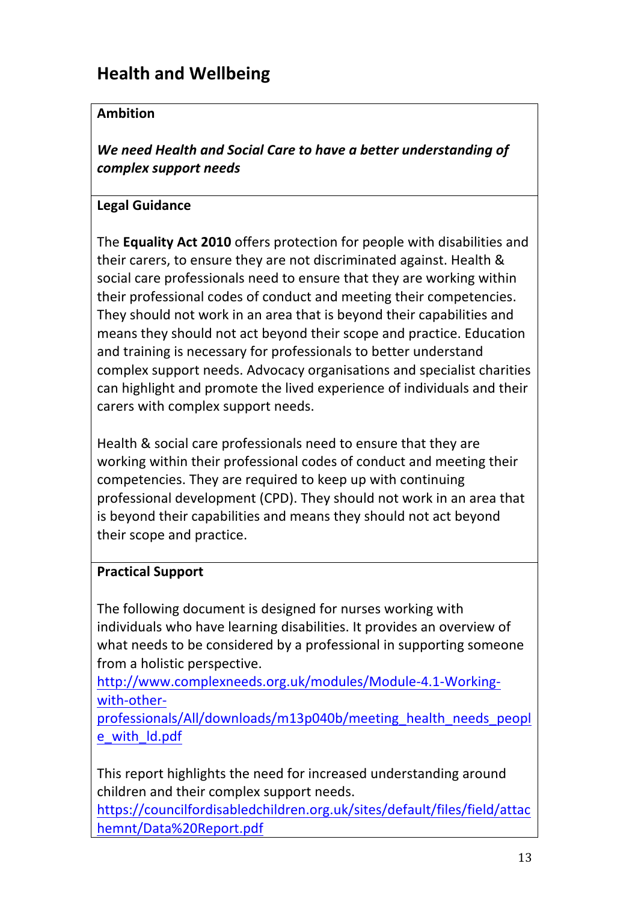# **Health and Wellbeing**

# **Ambition**

We need Health and Social Care to have a better understanding of *complex support needs*

# **Legal Guidance**

The **Equality Act 2010** offers protection for people with disabilities and their carers, to ensure they are not discriminated against. Health & social care professionals need to ensure that they are working within their professional codes of conduct and meeting their competencies. They should not work in an area that is beyond their capabilities and means they should not act beyond their scope and practice. Education and training is necessary for professionals to better understand complex support needs. Advocacy organisations and specialist charities can highlight and promote the lived experience of individuals and their carers with complex support needs.

Health & social care professionals need to ensure that they are working within their professional codes of conduct and meeting their competencies. They are required to keep up with continuing professional development (CPD). They should not work in an area that is beyond their capabilities and means they should not act beyond their scope and practice.

#### **Practical Support**

The following document is designed for nurses working with individuals who have learning disabilities. It provides an overview of what needs to be considered by a professional in supporting someone from a holistic perspective.

http://www.complexneeds.org.uk/modules/Module-4.1-Workingwith-other-

professionals/All/downloads/m13p040b/meeting\_health\_needs\_peopl e\_with\_ld.pdf

This report highlights the need for increased understanding around children and their complex support needs.

https://councilfordisabledchildren.org.uk/sites/default/files/field/attac hemnt/Data%20Report.pdf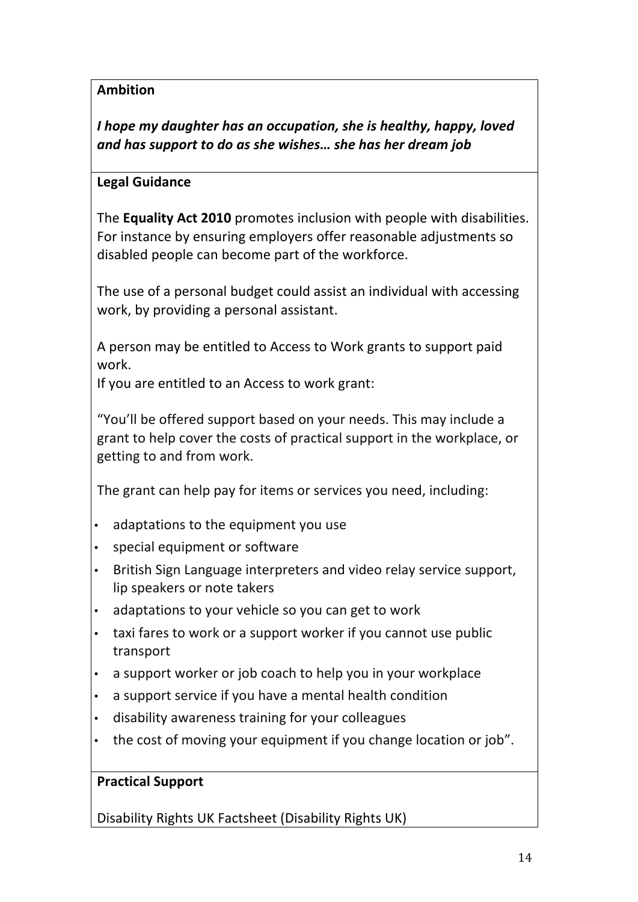*I* hope my daughter has an occupation, she is healthy, happy, loved and has support to do as she wishes... she has her dream job

# **Legal Guidance**

**The Equality Act 2010** promotes inclusion with people with disabilities. For instance by ensuring employers offer reasonable adjustments so disabled people can become part of the workforce.

The use of a personal budget could assist an individual with accessing work, by providing a personal assistant.

A person may be entitled to Access to Work grants to support paid work.

If you are entitled to an Access to work grant:

"You'll be offered support based on your needs. This may include a grant to help cover the costs of practical support in the workplace, or getting to and from work.

The grant can help pay for items or services you need, including:

- adaptations to the equipment you use
- special equipment or software
- British Sign Language interpreters and video relay service support, lip speakers or note takers
- adaptations to your vehicle so you can get to work
- taxi fares to work or a support worker if you cannot use public transport
- a support worker or job coach to help you in your workplace
- a support service if you have a mental health condition
- disability awareness training for your colleagues
- the cost of moving your equipment if you change location or job".

#### **Practical Support**

Disability Rights UK Factsheet (Disability Rights UK)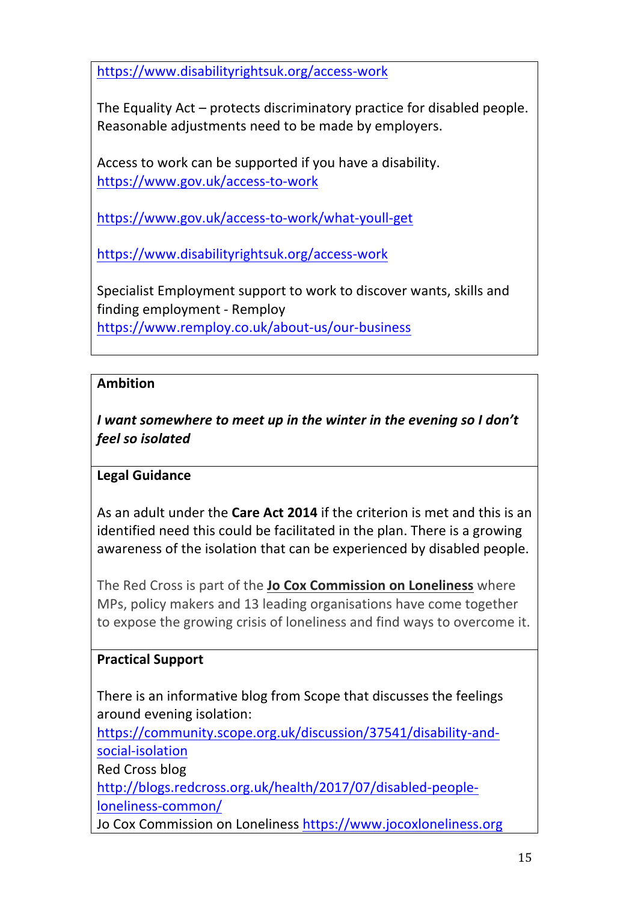https://www.disabilityrightsuk.org/access-work

The Equality Act  $-$  protects discriminatory practice for disabled people. Reasonable adjustments need to be made by employers.

Access to work can be supported if you have a disability. https://www.gov.uk/access-to-work

https://www.gov.uk/access-to-work/what-youll-get

https://www.disabilityrightsuk.org/access-work

Specialist Employment support to work to discover wants, skills and finding employment - Remploy https://www.remploy.co.uk/about-us/our-business

# **Ambition**

*I* want somewhere to meet up in the winter in the evening so I don't *feel so isolated*

# **Legal Guidance**

As an adult under the **Care Act 2014** if the criterion is met and this is an identified need this could be facilitated in the plan. There is a growing awareness of the isolation that can be experienced by disabled people.

The Red Cross is part of the **Jo Cox Commission on Loneliness** where MPs, policy makers and 13 leading organisations have come together to expose the growing crisis of loneliness and find ways to overcome it.

# **Practical Support**

There is an informative blog from Scope that discusses the feelings around evening isolation:

https://community.scope.org.uk/discussion/37541/disability-andsocial-isolation

**Red Cross blog** 

http://blogs.redcross.org.uk/health/2017/07/disabled-peopleloneliness-common/

Jo Cox Commission on Loneliness https://www.jocoxloneliness.org